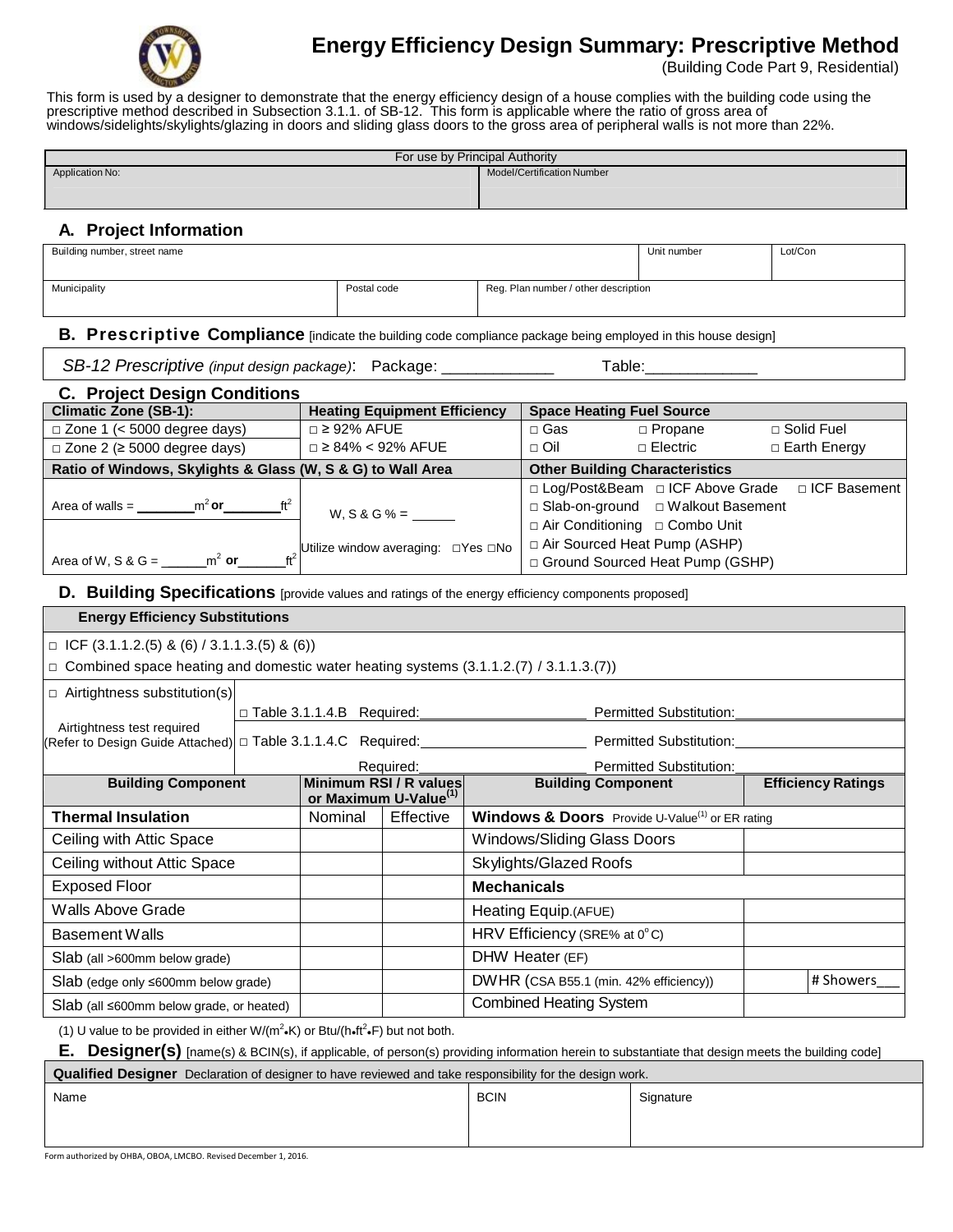

# **Energy Efficiency Design Summary: Prescriptive Method**

(Building Code Part 9, Residential)

This form is used by a designer to demonstrate that the energy efficiency design of a house complies with the building code using the prescriptive method described in Subsection 3.1.1. of SB-12. This form is applicable where the ratio of gross area of windows/sidelights/skylights/glazing in doors and sliding glass doors to the gross area of peripheral walls is not more than 22%.

| For use by Principal Authority                                                                                        |  |                                     |                                                             |                                                             |                                                                                                                     |                                |                           |  |
|-----------------------------------------------------------------------------------------------------------------------|--|-------------------------------------|-------------------------------------------------------------|-------------------------------------------------------------|---------------------------------------------------------------------------------------------------------------------|--------------------------------|---------------------------|--|
| Application No:                                                                                                       |  |                                     |                                                             |                                                             | Model/Certification Number                                                                                          |                                |                           |  |
|                                                                                                                       |  |                                     |                                                             |                                                             |                                                                                                                     |                                |                           |  |
| A. Project Information                                                                                                |  |                                     |                                                             |                                                             |                                                                                                                     |                                |                           |  |
| Building number, street name                                                                                          |  |                                     |                                                             |                                                             |                                                                                                                     | Unit number                    | Lot/Con                   |  |
| Municipality                                                                                                          |  | Postal code                         |                                                             |                                                             | Reg. Plan number / other description                                                                                |                                |                           |  |
|                                                                                                                       |  |                                     |                                                             |                                                             |                                                                                                                     |                                |                           |  |
| <b>B.</b> Prescriptive Compliance [indicate the building code compliance package being employed in this house design] |  |                                     |                                                             |                                                             |                                                                                                                     |                                |                           |  |
| SB-12 Prescriptive (input design package): Package: ______________                                                    |  |                                     |                                                             | Table:______________                                        |                                                                                                                     |                                |                           |  |
| <b>C. Project Design Conditions</b>                                                                                   |  |                                     |                                                             |                                                             |                                                                                                                     |                                |                           |  |
| <b>Climatic Zone (SB-1):</b>                                                                                          |  | <b>Heating Equipment Efficiency</b> |                                                             |                                                             | <b>Space Heating Fuel Source</b>                                                                                    |                                |                           |  |
| $\Box$ Zone 1 (< 5000 degree days)                                                                                    |  | $\Box$ ≥ 92% AFUE                   |                                                             |                                                             | $\Box$ Gas                                                                                                          | $\Box$ Propane                 | □ Solid Fuel              |  |
| $\Box$ Zone 2 ( $\geq$ 5000 degree days)                                                                              |  | $\Box$ ≥ 84% < 92% AFUE             |                                                             |                                                             | $\Box$ Oil                                                                                                          | □ Electric                     | □ Earth Energy            |  |
| Ratio of Windows, Skylights & Glass (W, S & G) to Wall Area                                                           |  |                                     |                                                             |                                                             | <b>Other Building Characteristics</b>                                                                               |                                |                           |  |
| Area of walls = $\frac{m^2}{1 + m^2}$ or $\frac{m^2}{1 + m^2}$                                                        |  | $W, S & G% =$                       |                                                             |                                                             | □ Log/Post&Beam □ ICF Above Grade<br>□ ICF Basement<br>□ Slab-on-ground □ Walkout Basement                          |                                |                           |  |
|                                                                                                                       |  |                                     |                                                             | □ Air Conditioning □ Combo Unit                             |                                                                                                                     |                                |                           |  |
|                                                                                                                       |  |                                     |                                                             |                                                             | □ Air Sourced Heat Pump (ASHP)                                                                                      |                                |                           |  |
| Area of W, S & G = _______m <sup>2</sup> or________ft <sup>2</sup> Utilize window averaging: $\Box$ Yes $\Box$ No     |  |                                     |                                                             |                                                             | □ Ground Sourced Heat Pump (GSHP)                                                                                   |                                |                           |  |
| D. Building Specifications [provide values and ratings of the energy efficiency components proposed]                  |  |                                     |                                                             |                                                             |                                                                                                                     |                                |                           |  |
| <b>Energy Efficiency Substitutions</b>                                                                                |  |                                     |                                                             |                                                             |                                                                                                                     |                                |                           |  |
| $\Box$ ICF (3.1.1.2.(5) & (6) / 3.1.1.3.(5) & (6))                                                                    |  |                                     |                                                             |                                                             |                                                                                                                     |                                |                           |  |
| $\Box$ Combined space heating and domestic water heating systems (3.1.1.2.(7) / 3.1.1.3.(7))                          |  |                                     |                                                             |                                                             |                                                                                                                     |                                |                           |  |
| $\Box$ Airtightness substitution(s)                                                                                   |  |                                     |                                                             |                                                             |                                                                                                                     |                                |                           |  |
| Airtightness test required                                                                                            |  | □ Table 3.1.1.4.B Required: 1       |                                                             |                                                             | <b>Permitted Substitution:</b>                                                                                      |                                |                           |  |
|                                                                                                                       |  |                                     |                                                             |                                                             | Refer to Design Guide Attached) □ Table 3.1.1.4.C Required:_____________________________ Permitted Substitution:___ |                                |                           |  |
|                                                                                                                       |  |                                     | Required:                                                   |                                                             |                                                                                                                     | <b>Permitted Substitution:</b> |                           |  |
| <b>Building Component</b>                                                                                             |  |                                     | Minimum RSI / R values<br>or Maximum U-Value <sup>(1)</sup> |                                                             | <b>Building Component</b>                                                                                           |                                | <b>Efficiency Ratings</b> |  |
| <b>Thermal Insulation</b>                                                                                             |  | Nominal                             | Effective                                                   | Windows & Doors Provide U-Value <sup>(1)</sup> or ER rating |                                                                                                                     |                                |                           |  |
| Ceiling with Attic Space                                                                                              |  |                                     |                                                             | Windows/Sliding Glass Doors                                 |                                                                                                                     |                                |                           |  |
| Ceiling without Attic Space                                                                                           |  |                                     |                                                             | Skylights/Glazed Roofs                                      |                                                                                                                     |                                |                           |  |
| <b>Exposed Floor</b>                                                                                                  |  |                                     |                                                             | <b>Mechanicals</b>                                          |                                                                                                                     |                                |                           |  |
| Walls Above Grade                                                                                                     |  |                                     |                                                             | Heating Equip.(AFUE)                                        |                                                                                                                     |                                |                           |  |
| <b>Basement Walls</b>                                                                                                 |  |                                     |                                                             | HRV Efficiency (SRE% at 0°C)                                |                                                                                                                     |                                |                           |  |
| Slab (all >600mm below grade)                                                                                         |  |                                     |                                                             | DHW Heater (EF)                                             |                                                                                                                     |                                |                           |  |
| Slab (edge only ≤600mm below grade)                                                                                   |  |                                     |                                                             | DWHR (CSA B55.1 (min. 42% efficiency))                      |                                                                                                                     |                                | # Showers                 |  |
| Slab (all ≤600mm below grade, or heated)                                                                              |  |                                     |                                                             | <b>Combined Heating System</b>                              |                                                                                                                     |                                |                           |  |
| (1) U value to be provided in either W/( $m^2\text{-K}$ ) or Btu/(h-ft <sup>2</sup> .F) but not both.                 |  |                                     |                                                             |                                                             |                                                                                                                     |                                |                           |  |

**E. Designer(s)** [name(s) & BCIN(s), if applicable, of person(s) providing information herein to substantiate that design meets the building code]

**Qualified Designer** Declaration of designer to have reviewed and take responsibility for the design work.

| Name | <b>BCIN</b> | Signature |
|------|-------------|-----------|
|      |             |           |